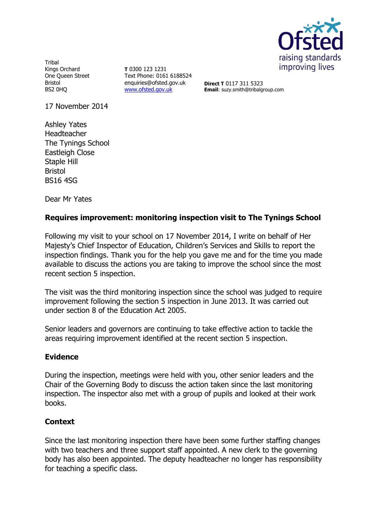

**Tribal** Kings Orchard One Queen Street Bristol BS2 0HQ

**T** 0300 123 1231 Text Phone: 0161 6188524 enquiries@ofsted.gov.uk [www.ofsted.gov.uk](http://www.ofsted.gov.uk/)

**Direct T** 0117 311 5323 **Email**: suzy.smith@tribalgroup.com

17 November 2014

Ashley Yates Headteacher The Tynings School Eastleigh Close Staple Hill Bristol BS16 4SG

Dear Mr Yates

## **Requires improvement: monitoring inspection visit to The Tynings School**

Following my visit to your school on 17 November 2014, I write on behalf of Her Majesty's Chief Inspector of Education, Children's Services and Skills to report the inspection findings. Thank you for the help you gave me and for the time you made available to discuss the actions you are taking to improve the school since the most recent section 5 inspection.

The visit was the third monitoring inspection since the school was judged to require improvement following the section 5 inspection in June 2013. It was carried out under section 8 of the Education Act 2005.

Senior leaders and governors are continuing to take effective action to tackle the areas requiring improvement identified at the recent section 5 inspection.

### **Evidence**

During the inspection, meetings were held with you, other senior leaders and the Chair of the Governing Body to discuss the action taken since the last monitoring inspection. The inspector also met with a group of pupils and looked at their work books.

# **Context**

Since the last monitoring inspection there have been some further staffing changes with two teachers and three support staff appointed. A new clerk to the governing body has also been appointed. The deputy headteacher no longer has responsibility for teaching a specific class.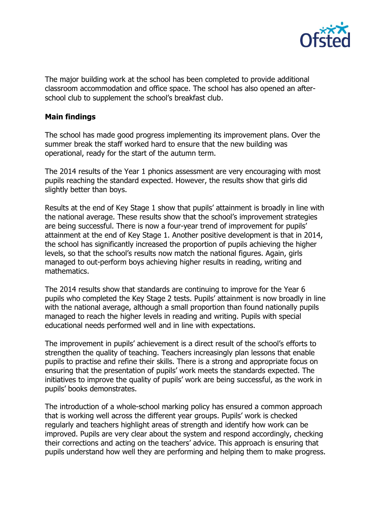

The major building work at the school has been completed to provide additional classroom accommodation and office space. The school has also opened an afterschool club to supplement the school's breakfast club.

## **Main findings**

The school has made good progress implementing its improvement plans. Over the summer break the staff worked hard to ensure that the new building was operational, ready for the start of the autumn term.

The 2014 results of the Year 1 phonics assessment are very encouraging with most pupils reaching the standard expected. However, the results show that girls did slightly better than boys.

Results at the end of Key Stage 1 show that pupils' attainment is broadly in line with the national average. These results show that the school's improvement strategies are being successful. There is now a four-year trend of improvement for pupils' attainment at the end of Key Stage 1. Another positive development is that in 2014, the school has significantly increased the proportion of pupils achieving the higher levels, so that the school's results now match the national figures. Again, girls managed to out-perform boys achieving higher results in reading, writing and mathematics.

The 2014 results show that standards are continuing to improve for the Year 6 pupils who completed the Key Stage 2 tests. Pupils' attainment is now broadly in line with the national average, although a small proportion than found nationally pupils managed to reach the higher levels in reading and writing. Pupils with special educational needs performed well and in line with expectations.

The improvement in pupils' achievement is a direct result of the school's efforts to strengthen the quality of teaching. Teachers increasingly plan lessons that enable pupils to practise and refine their skills. There is a strong and appropriate focus on ensuring that the presentation of pupils' work meets the standards expected. The initiatives to improve the quality of pupils' work are being successful, as the work in pupils' books demonstrates.

The introduction of a whole-school marking policy has ensured a common approach that is working well across the different year groups. Pupils' work is checked regularly and teachers highlight areas of strength and identify how work can be improved. Pupils are very clear about the system and respond accordingly, checking their corrections and acting on the teachers' advice. This approach is ensuring that pupils understand how well they are performing and helping them to make progress.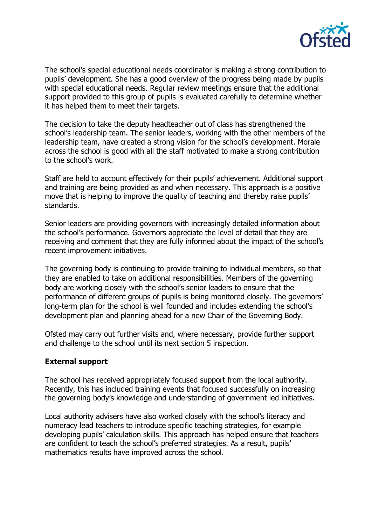

The school's special educational needs coordinator is making a strong contribution to pupils' development. She has a good overview of the progress being made by pupils with special educational needs. Regular review meetings ensure that the additional support provided to this group of pupils is evaluated carefully to determine whether it has helped them to meet their targets.

The decision to take the deputy headteacher out of class has strengthened the school's leadership team. The senior leaders, working with the other members of the leadership team, have created a strong vision for the school's development. Morale across the school is good with all the staff motivated to make a strong contribution to the school's work.

Staff are held to account effectively for their pupils' achievement. Additional support and training are being provided as and when necessary. This approach is a positive move that is helping to improve the quality of teaching and thereby raise pupils' standards.

Senior leaders are providing governors with increasingly detailed information about the school's performance. Governors appreciate the level of detail that they are receiving and comment that they are fully informed about the impact of the school's recent improvement initiatives.

The governing body is continuing to provide training to individual members, so that they are enabled to take on additional responsibilities. Members of the governing body are working closely with the school's senior leaders to ensure that the performance of different groups of pupils is being monitored closely. The governors' long-term plan for the school is well founded and includes extending the school's development plan and planning ahead for a new Chair of the Governing Body.

Ofsted may carry out further visits and, where necessary, provide further support and challenge to the school until its next section 5 inspection.

# **External support**

The school has received appropriately focused support from the local authority. Recently, this has included training events that focused successfully on increasing the governing body's knowledge and understanding of government led initiatives.

Local authority advisers have also worked closely with the school's literacy and numeracy lead teachers to introduce specific teaching strategies, for example developing pupils' calculation skills. This approach has helped ensure that teachers are confident to teach the school's preferred strategies. As a result, pupils' mathematics results have improved across the school.